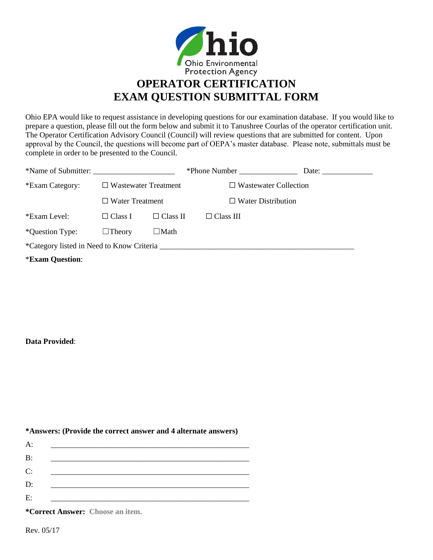

**EXAM QUESTION SUBMITTAL FORM**

Ohio EPA would like to request assistance in developing questions for our examination database. If you would like to prepare a question, please fill out the form below and submit it to Tanushree Courlas of the operator certification unit. The Operator Certification Advisory Council (Council) will review questions that are submitted for content. Upon approval by the Council, the questions will become part of OEPA's master database. Please note, submittals must be complete in order to be presented to the Council.

| *Name of Submitter:    |                                                       |                 | *Phone Number                | Date: |  |
|------------------------|-------------------------------------------------------|-----------------|------------------------------|-------|--|
| *Exam Category:        | $\Box$ Wastewater Treatment<br>$\Box$ Water Treatment |                 | $\Box$ Wastewater Collection |       |  |
|                        |                                                       |                 | $\Box$ Water Distribution    |       |  |
| *Exam Level:           | $\square$ Class I                                     | $\Box$ Class II | $\Box$ Class III             |       |  |
| *Question Type:        | $\Box$ Theory                                         | ⊔Math           |                              |       |  |
|                        |                                                       |                 |                              |       |  |
| <b>*Exam Question:</b> |                                                       |                 |                              |       |  |

## **Data Provided**:

## **\*Answers: (Provide the correct answer and 4 alternate answers)**

| A:         |  |  |
|------------|--|--|
| <b>B</b> : |  |  |
| C:         |  |  |
| D:         |  |  |
| E:         |  |  |

**\*Correct Answer: Choose an item.**